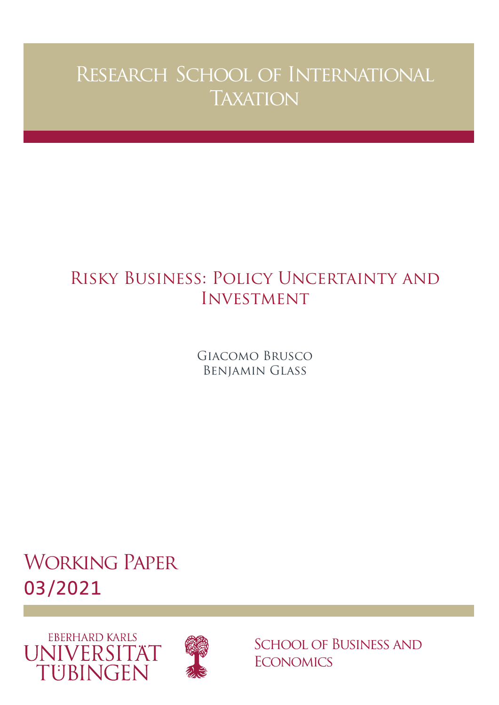# Research School of International **TAXATION**

## Risky Business: Policy Uncertainty and Investment

Giacomo Brusco Benjamin Glass

Working Paper 03/2021





School of Business and **ECONOMICS**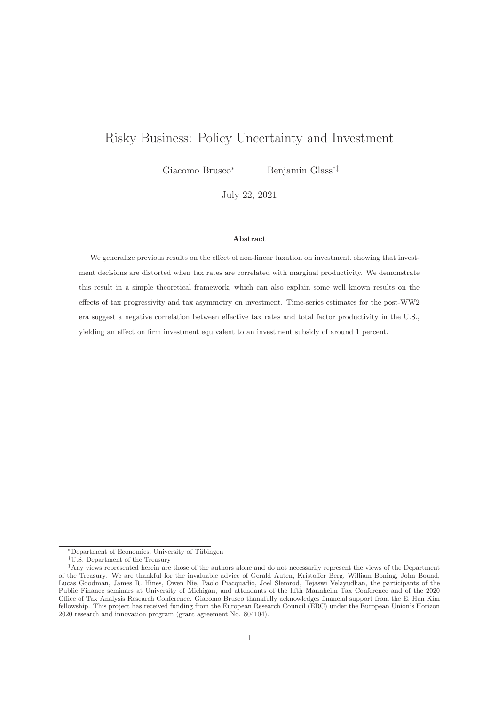### Risky Business: Policy Uncertainty and Investment

Giacomo Brusco<sup>∗</sup> Benjamin Glass†‡

July 22, 2021

#### **Abstract**

We generalize previous results on the effect of non-linear taxation on investment, showing that investment decisions are distorted when tax rates are correlated with marginal productivity. We demonstrate this result in a simple theoretical framework, which can also explain some well known results on the effects of tax progressivity and tax asymmetry on investment. Time-series estimates for the post-WW2 era suggest a negative correlation between effective tax rates and total factor productivity in the U.S., yielding an effect on firm investment equivalent to an investment subsidy of around 1 percent.

<sup>\*</sup>Department of Economics, University of Tübingen

<sup>†</sup>U.S. Department of the Treasury

<sup>‡</sup>Any views represented herein are those of the authors alone and do not necessarily represent the views of the Department of the Treasury. We are thankful for the invaluable advice of Gerald Auten, Kristoffer Berg, William Boning, John Bound, Lucas Goodman, James R. Hines, Owen Nie, Paolo Piacquadio, Joel Slemrod, Tejaswi Velayudhan, the participants of the Public Finance seminars at University of Michigan, and attendants of the fifth Mannheim Tax Conference and of the 2020 Office of Tax Analysis Research Conference. Giacomo Brusco thankfully acknowledges financial support from the E. Han Kim fellowship. This project has received funding from the European Research Council (ERC) under the European Union's Horizon 2020 research and innovation program (grant agreement No. 804104).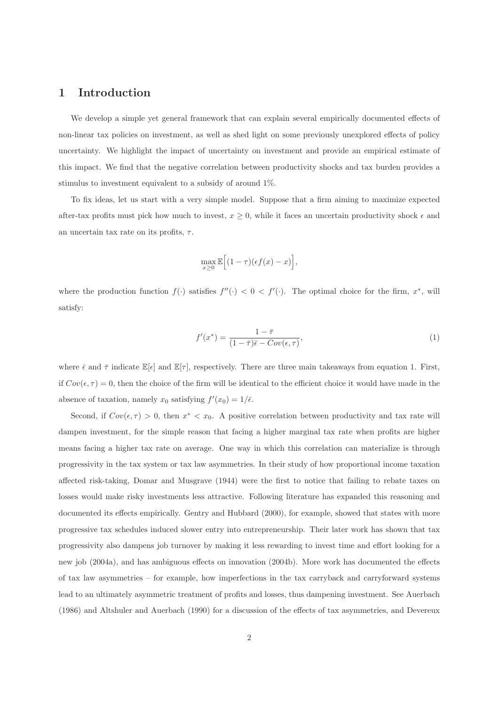#### **1 Introduction**

We develop a simple yet general framework that can explain several empirically documented effects of non-linear tax policies on investment, as well as shed light on some previously unexplored effects of policy uncertainty. We highlight the impact of uncertainty on investment and provide an empirical estimate of this impact. We find that the negative correlation between productivity shocks and tax burden provides a stimulus to investment equivalent to a subsidy of around 1%.

To fix ideas, let us start with a very simple model. Suppose that a firm aiming to maximize expected after-tax profits must pick how much to invest,  $x \geq 0$ , while it faces an uncertain productivity shock  $\epsilon$  and an uncertain tax rate on its profits,  $\tau$ .

$$
\max_{x\geq 0} \mathbb{E}\Big[(1-\tau)(\epsilon f(x)-x)\Big],
$$

where the production function  $f(\cdot)$  satisfies  $f''(\cdot) < 0 < f'(\cdot)$ . The optimal choice for the firm,  $x^*$ , will satisfy:

$$
f'(x^*) = \frac{1 - \bar{\tau}}{(1 - \bar{\tau})\bar{\epsilon} - Cov(\epsilon, \tau)},
$$
\n(1)

where  $\bar{\epsilon}$  and  $\bar{\tau}$  indicate  $\mathbb{E}[\epsilon]$  and  $\mathbb{E}[\tau]$ , respectively. There are three main takeaways from equation 1. First, if  $Cov(\epsilon, \tau) = 0$ , then the choice of the firm will be identical to the efficient choice it would have made in the absence of taxation, namely  $x_0$  satisfying  $f'(x_0) = 1/\bar{\epsilon}$ .

Second, if  $Cov(\epsilon, \tau) > 0$ , then  $x^* < x_0$ . A positive correlation between productivity and tax rate will dampen investment, for the simple reason that facing a higher marginal tax rate when profits are higher means facing a higher tax rate on average. One way in which this correlation can materialize is through progressivity in the tax system or tax law asymmetries. In their study of how proportional income taxation affected risk-taking, Domar and Musgrave (1944) were the first to notice that failing to rebate taxes on losses would make risky investments less attractive. Following literature has expanded this reasoning and documented its effects empirically. Gentry and Hubbard (2000), for example, showed that states with more progressive tax schedules induced slower entry into entrepreneurship. Their later work has shown that tax progressivity also dampens job turnover by making it less rewarding to invest time and effort looking for a new job (2004a), and has ambiguous effects on innovation (2004b). More work has documented the effects of tax law asymmetries – for example, how imperfections in the tax carryback and carryforward systems lead to an ultimately asymmetric treatment of profits and losses, thus dampening investment. See Auerbach (1986) and Altshuler and Auerbach (1990) for a discussion of the effects of tax asymmetries, and Devereux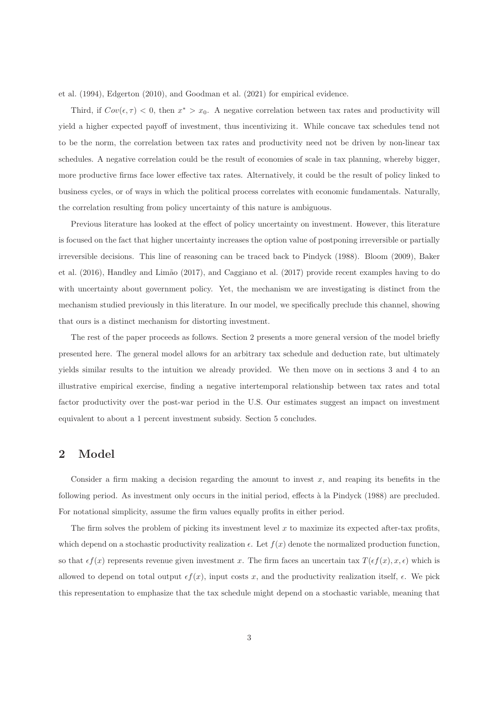et al. (1994), Edgerton (2010), and Goodman et al. (2021) for empirical evidence.

Third, if  $Cov(\epsilon, \tau) < 0$ , then  $x^* > x_0$ . A negative correlation between tax rates and productivity will yield a higher expected payoff of investment, thus incentivizing it. While concave tax schedules tend not to be the norm, the correlation between tax rates and productivity need not be driven by non-linear tax schedules. A negative correlation could be the result of economies of scale in tax planning, whereby bigger, more productive firms face lower effective tax rates. Alternatively, it could be the result of policy linked to business cycles, or of ways in which the political process correlates with economic fundamentals. Naturally, the correlation resulting from policy uncertainty of this nature is ambiguous.

Previous literature has looked at the effect of policy uncertainty on investment. However, this literature is focused on the fact that higher uncertainty increases the option value of postponing irreversible or partially irreversible decisions. This line of reasoning can be traced back to Pindyck (1988). Bloom (2009), Baker et al. (2016), Handley and Limão (2017), and Caggiano et al. (2017) provide recent examples having to do with uncertainty about government policy. Yet, the mechanism we are investigating is distinct from the mechanism studied previously in this literature. In our model, we specifically preclude this channel, showing that ours is a distinct mechanism for distorting investment.

The rest of the paper proceeds as follows. Section 2 presents a more general version of the model briefly presented here. The general model allows for an arbitrary tax schedule and deduction rate, but ultimately yields similar results to the intuition we already provided. We then move on in sections 3 and 4 to an illustrative empirical exercise, finding a negative intertemporal relationship between tax rates and total factor productivity over the post-war period in the U.S. Our estimates suggest an impact on investment equivalent to about a 1 percent investment subsidy. Section 5 concludes.

#### **2 Model**

Consider a firm making a decision regarding the amount to invest  $x$ , and reaping its benefits in the following period. As investment only occurs in the initial period, effects à la Pindyck (1988) are precluded. For notational simplicity, assume the firm values equally profits in either period.

The firm solves the problem of picking its investment level  $x$  to maximize its expected after-tax profits, which depend on a stochastic productivity realization  $\epsilon$ . Let  $f(x)$  denote the normalized production function, so that  $\epsilon f(x)$  represents revenue given investment x. The firm faces an uncertain tax  $T(\epsilon f(x), x, \epsilon)$  which is allowed to depend on total output  $\epsilon f(x)$ , input costs x, and the productivity realization itself,  $\epsilon$ . We pick this representation to emphasize that the tax schedule might depend on a stochastic variable, meaning that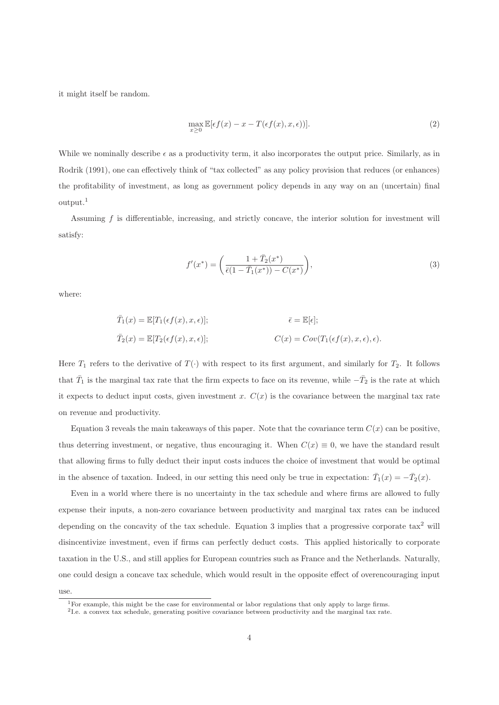it might itself be random.

$$
\max_{x\geq 0} \mathbb{E}[\epsilon f(x) - x - T(\epsilon f(x), x, \epsilon))].
$$
\n(2)

While we nominally describe  $\epsilon$  as a productivity term, it also incorporates the output price. Similarly, as in Rodrik (1991), one can effectively think of "tax collected" as any policy provision that reduces (or enhances) the profitability of investment, as long as government policy depends in any way on an (uncertain) final output.<sup>1</sup>

Assuming f is differentiable, increasing, and strictly concave, the interior solution for investment will satisfy:

$$
f'(x^*) = \left(\frac{1 + \bar{T}_2(x^*)}{\bar{\epsilon}(1 - \bar{T}_1(x^*)) - C(x^*)}\right),\tag{3}
$$

where:

$$
\overline{T}_1(x) = \mathbb{E}[T_1(\epsilon f(x), x, \epsilon)];
$$
\n
$$
\overline{\epsilon} = \mathbb{E}[\epsilon];
$$
\n
$$
\overline{T}_2(x) = \mathbb{E}[T_2(\epsilon f(x), x, \epsilon)];
$$
\n
$$
C(x) = Cov(T_1(\epsilon f(x), x, \epsilon), \epsilon).
$$

Here  $T_1$  refers to the derivative of  $T(\cdot)$  with respect to its first argument, and similarly for  $T_2$ . It follows that  $\bar{T}_1$  is the marginal tax rate that the firm expects to face on its revenue, while  $-\bar{T}_2$  is the rate at which it expects to deduct input costs, given investment x.  $C(x)$  is the covariance between the marginal tax rate on revenue and productivity.

Equation 3 reveals the main takeaways of this paper. Note that the covariance term  $C(x)$  can be positive, thus deterring investment, or negative, thus encouraging it. When  $C(x) \equiv 0$ , we have the standard result that allowing firms to fully deduct their input costs induces the choice of investment that would be optimal in the absence of taxation. Indeed, in our setting this need only be true in expectation:  $\bar{T}_1(x) = -\bar{T}_2(x)$ .

Even in a world where there is no uncertainty in the tax schedule and where firms are allowed to fully expense their inputs, a non-zero covariance between productivity and marginal tax rates can be induced depending on the concavity of the tax schedule. Equation 3 implies that a progressive corporate  $\text{tax}^2$  will disincentivize investment, even if firms can perfectly deduct costs. This applied historically to corporate taxation in the U.S., and still applies for European countries such as France and the Netherlands. Naturally, one could design a concave tax schedule, which would result in the opposite effect of overencouraging input

use.

<sup>&</sup>lt;sup>1</sup>For example, this might be the case for environmental or labor regulations that only apply to large firms.

<sup>2</sup>I.e. a convex tax schedule, generating positive covariance between productivity and the marginal tax rate.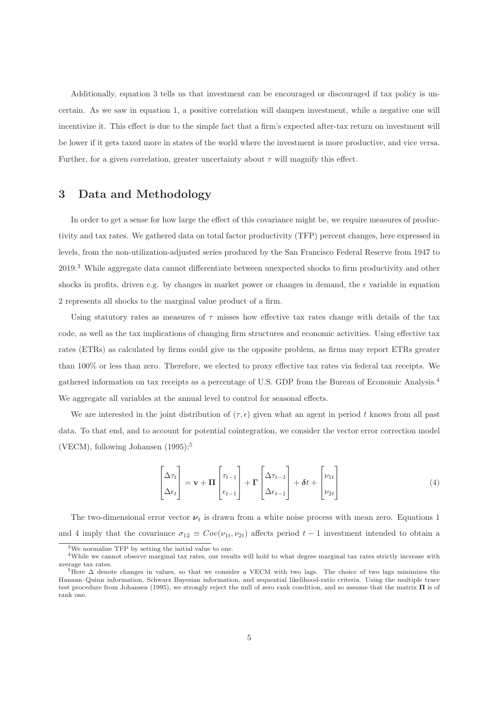Additionally, equation 3 tells us that investment can be encouraged or discouraged if tax policy is uncertain. As we saw in equation 1, a positive correlation will dampen investment, while a negative one will incentivize it. This effect is due to the simple fact that a firm's expected after-tax return on investment will be lower if it gets taxed more in states of the world where the investment is more productive, and vice versa. Further, for a given correlation, greater uncertainty about  $\tau$  will magnify this effect.

#### **3 Data and Methodology**

In order to get a sense for how large the effect of this covariance might be, we require measures of productivity and tax rates. We gathered data on total factor productivity (TFP) percent changes, here expressed in levels, from the non-utilization-adjusted series produced by the San Francisco Federal Reserve from 1947 to 2019.<sup>3</sup> While aggregate data cannot differentiate between unexpected shocks to firm productivity and other shocks in profits, driven e.g. by changes in market power or changes in demand, the  $\epsilon$  variable in equation 2 represents all shocks to the marginal value product of a firm.

Using statutory rates as measures of  $\tau$  misses how effective tax rates change with details of the tax code, as well as the tax implications of changing firm structures and economic activities. Using effective tax rates (ETRs) as calculated by firms could give us the opposite problem, as firms may report ETRs greater than 100% or less than zero. Therefore, we elected to proxy effective tax rates via federal tax receipts. We gathered information on tax receipts as a percentage of U.S. GDP from the Bureau of Economic Analysis.<sup>4</sup> We aggregate all variables at the annual level to control for seasonal effects.

We are interested in the joint distribution of  $(\tau, \epsilon)$  given what an agent in period t knows from all past data. To that end, and to account for potential cointegration, we consider the vector error correction model (VECM), following Johansen  $(1995):$ <sup>5</sup>

$$
\begin{bmatrix} \Delta \tau_t \\ \Delta \epsilon_t \end{bmatrix} = \mathbf{v} + \mathbf{\Pi} \begin{bmatrix} \tau_{t-1} \\ \epsilon_{t-1} \end{bmatrix} + \mathbf{\Gamma} \begin{bmatrix} \Delta \tau_{t-1} \\ \Delta \epsilon_{t-1} \end{bmatrix} + \delta t + \begin{bmatrix} \nu_{1t} \\ \nu_{2t} \end{bmatrix}
$$
(4)

The two-dimensional error vector  $\nu_t$  is drawn from a white noise process with mean zero. Equations 1 and 4 imply that the covariance  $\sigma_{12} \equiv Cov(\nu_{1t}, \nu_{2t})$  affects period  $t-1$  investment intended to obtain a

<sup>3</sup>We normalize TFP by setting the initial value to one.

<sup>&</sup>lt;sup>4</sup>While we cannot observe marginal tax rates, our results will hold to what degree marginal tax rates strictly increase with average tax rates.

 $5$ Here  $\Delta$  denote changes in values, so that we consider a VECM with two lags. The choice of two lags minimizes the Hannan–Quinn information, Schwarz Bayesian information, and sequential likelihood-ratio criteria. Using the multiple trace test procedure from Johansen (1995), we strongly reject the null of zero rank condition, and so assume that the matrix **Π** is of rank one.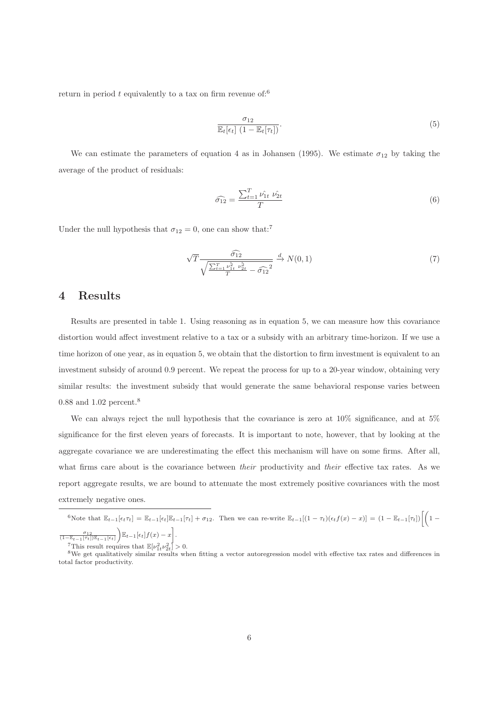return in period  $t$  equivalently to a tax on firm revenue of:<sup>6</sup>

$$
\frac{\sigma_{12}}{\mathbb{E}_t[\epsilon_t] \left(1 - \mathbb{E}_t[\tau_t]\right)}.
$$
\n
$$
(5)
$$

We can estimate the parameters of equation 4 as in Johansen (1995). We estimate  $\sigma_{12}$  by taking the average of the product of residuals:

$$
\widehat{\sigma_{12}} = \frac{\sum_{t=1}^{T} \hat{\nu_{1t}} \ \hat{\nu_{2t}}}{T} \tag{6}
$$

Under the null hypothesis that  $\sigma_{12} = 0$ , one can show that:<sup>7</sup>

$$
\sqrt{T} \frac{\widehat{\sigma}_{12}}{\sqrt{\frac{\sum_{t=1}^{T} \nu_{1t}^2 \nu_{2t}^2}{T} - \widehat{\sigma}_{12}^2}} \xrightarrow{d} N(0, 1) \tag{7}
$$

#### **4 Results**

Results are presented in table 1. Using reasoning as in equation 5, we can measure how this covariance distortion would affect investment relative to a tax or a subsidy with an arbitrary time-horizon. If we use a time horizon of one year, as in equation 5, we obtain that the distortion to firm investment is equivalent to an investment subsidy of around 0.9 percent. We repeat the process for up to a 20-year window, obtaining very similar results: the investment subsidy that would generate the same behavioral response varies between 0.88 and 1.02 percent.<sup>8</sup>

We can always reject the null hypothesis that the covariance is zero at  $10\%$  significance, and at  $5\%$ significance for the first eleven years of forecasts. It is important to note, however, that by looking at the aggregate covariance we are underestimating the effect this mechanism will have on some firms. After all, what firms care about is the covariance between *their* productivity and *their* effective tax rates. As we report aggregate results, we are bound to attenuate the most extremely positive covariances with the most extremely negative ones.

6Note that  $\mathbb{E}_{t-1}[\epsilon_t \tau_t] = \mathbb{E}_{t-1}[\epsilon_t] \mathbb{E}_{t-1}[\tau_t] + \sigma_{12}$ . Then we can re-write  $\mathbb{E}_{t-1}[(1-\tau_t)(\epsilon_t f(x) - x)] = (1 - \mathbb{E}_{t-1}[\tau_t]) \left(1 - \tau_t \right)$  $\frac{\sigma_{12}}{(1-\mathbb{E}_{t-1}[\tau_t])\mathbb{E}_{t-1}[\epsilon_t]}$  $\left[\mathbb{E}_{t-1}[\epsilon_t]f(x)-x\right].$ 

<sup>7</sup>This result requires that  $\mathbb{E}[\nu_{1t}^2 \nu_2^2]$ 

<sup>&</sup>lt;sup>8</sup>We get qualitatively similar results when fitting a vector autoregression model with effective tax rates and differences in total factor productivity.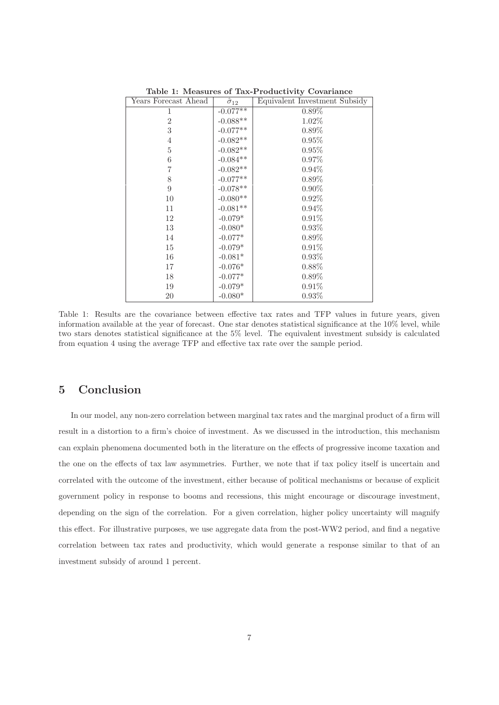| Years Forecast Ahead | $\hat{\sigma}_{12}$ | Equivalent Investment Subsidy |
|----------------------|---------------------|-------------------------------|
| 1                    | $-0.077**$          | $0.89\%$                      |
| $\overline{2}$       | $-0.088**$          | 1.02%                         |
| 3                    | $-0.077**$          | $0.89\%$                      |
| $\overline{4}$       | $-0.082**$          | $0.95\%$                      |
| 5                    | $-0.082**$          | 0.95%                         |
| 6                    | $-0.084**$          | $0.97\%$                      |
| 7                    | $-0.082**$          | $0.94\%$                      |
| 8                    | $-0.077**$          | $0.89\%$                      |
| 9                    | $-0.078**$          | $0.90\%$                      |
| 10                   | $-0.080**$          | $0.92\%$                      |
| 11                   | $-0.081**$          | $0.94\%$                      |
| 12                   | $-0.079*$           | $0.91\%$                      |
| 13                   | $-0.080*$           | $0.93\%$                      |
| 14                   | $-0.077^{\ast}$     | $0.89\%$                      |
| 15                   | $-0.079*$           | $0.91\%$                      |
| 16                   | $-0.081*$           | 0.93%                         |
| 17                   | $-0.076*$           | $0.88\%$                      |
| 18                   | $-0.077*$           | $0.89\%$                      |
| 19                   | $-0.079*$           | $0.91\%$                      |
| 20                   | $-0.080*$           | $0.93\%$                      |

**Table 1: Measures of Tax-Productivity Covariance**

Table 1: Results are the covariance between effective tax rates and TFP values in future years, given information available at the year of forecast. One star denotes statistical significance at the 10% level, while two stars denotes statistical significance at the 5% level. The equivalent investment subsidy is calculated from equation 4 using the average TFP and effective tax rate over the sample period.

### **5 Conclusion**

In our model, any non-zero correlation between marginal tax rates and the marginal product of a firm will result in a distortion to a firm's choice of investment. As we discussed in the introduction, this mechanism can explain phenomena documented both in the literature on the effects of progressive income taxation and the one on the effects of tax law asymmetries. Further, we note that if tax policy itself is uncertain and correlated with the outcome of the investment, either because of political mechanisms or because of explicit government policy in response to booms and recessions, this might encourage or discourage investment, depending on the sign of the correlation. For a given correlation, higher policy uncertainty will magnify this effect. For illustrative purposes, we use aggregate data from the post-WW2 period, and find a negative correlation between tax rates and productivity, which would generate a response similar to that of an investment subsidy of around 1 percent.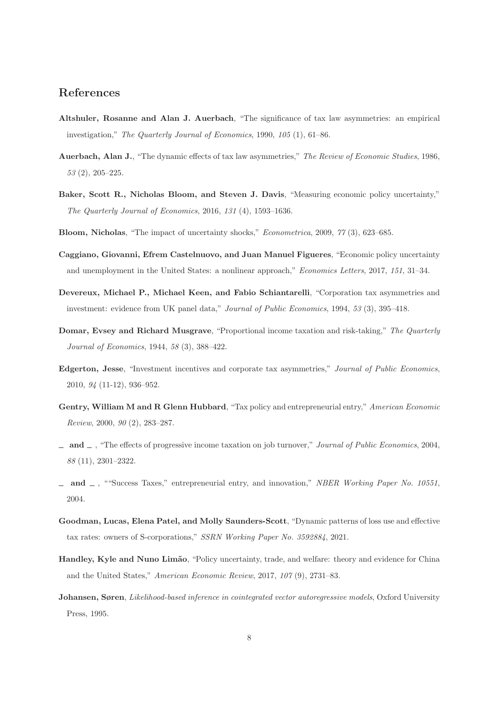#### **References**

- **Altshuler, Rosanne and Alan J. Auerbach**, "The significance of tax law asymmetries: an empirical investigation," The Quarterly Journal of Economics, 1990, 105 (1), 61–86.
- **Auerbach, Alan J.**, "The dynamic effects of tax law asymmetries," The Review of Economic Studies, 1986, 53 (2), 205–225.
- **Baker, Scott R., Nicholas Bloom, and Steven J. Davis**, "Measuring economic policy uncertainty," The Quarterly Journal of Economics, 2016, 131 (4), 1593–1636.
- **Bloom, Nicholas**, "The impact of uncertainty shocks," Econometrica, 2009, 77 (3), 623–685.
- **Caggiano, Giovanni, Efrem Castelnuovo, and Juan Manuel Figueres**, "Economic policy uncertainty and unemployment in the United States: a nonlinear approach," Economics Letters, 2017, 151, 31–34.
- **Devereux, Michael P., Michael Keen, and Fabio Schiantarelli**, "Corporation tax asymmetries and investment: evidence from UK panel data," Journal of Public Economics, 1994, 53 (3), 395–418.
- **Domar, Evsey and Richard Musgrave**, "Proportional income taxation and risk-taking," The Quarterly Journal of Economics, 1944, 58 (3), 388–422.
- **Edgerton, Jesse**, "Investment incentives and corporate tax asymmetries," Journal of Public Economics, 2010, 94 (11-12), 936–952.
- Gentry, William M and R Glenn Hubbard, "Tax policy and entrepreneurial entry," American Economic Review, 2000, 90 (2), 283–287.
- **and** , "The effects of progressive income taxation on job turnover," Journal of Public Economics, 2004, 88 (11), 2301–2322.
- **and** , ""Success Taxes," entrepreneurial entry, and innovation," NBER Working Paper No. 10551, 2004.
- **Goodman, Lucas, Elena Patel, and Molly Saunders-Scott**, "Dynamic patterns of loss use and effective tax rates: owners of S-corporations," SSRN Working Paper No. 3592884, 2021.
- **Handley, Kyle and Nuno Limão**, "Policy uncertainty, trade, and welfare: theory and evidence for China and the United States," American Economic Review, 2017, 107 (9), 2731–83.
- **Johansen, Søren**, Likelihood-based inference in cointegrated vector autoregressive models, Oxford University Press, 1995.